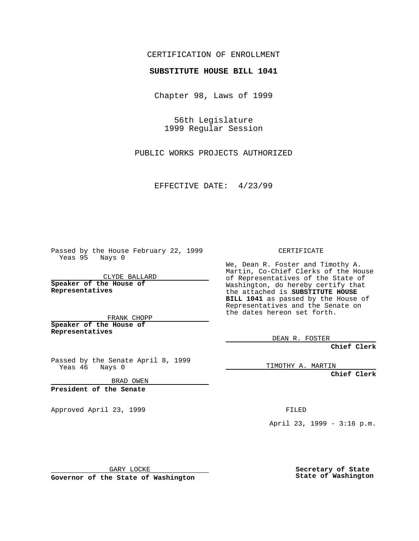## CERTIFICATION OF ENROLLMENT

## **SUBSTITUTE HOUSE BILL 1041**

Chapter 98, Laws of 1999

56th Legislature 1999 Regular Session

PUBLIC WORKS PROJECTS AUTHORIZED

EFFECTIVE DATE: 4/23/99

Passed by the House February 22, 1999 Yeas 95 Nays 0

CLYDE BALLARD **Speaker of the House of Representatives**

FRANK CHOPP **Speaker of the House of Representatives**

Passed by the Senate April 8, 1999<br>Yeas 46 Nays 0 Nays 0

BRAD OWEN

**President of the Senate**

Approved April 23, 1999 FILED

CERTIFICATE

We, Dean R. Foster and Timothy A. Martin, Co-Chief Clerks of the House of Representatives of the State of Washington, do hereby certify that the attached is **SUBSTITUTE HOUSE BILL 1041** as passed by the House of Representatives and the Senate on the dates hereon set forth.

DEAN R. FOSTER

**Chief Clerk**

TIMOTHY A. MARTIN

**Chief Clerk**

April 23, 1999 - 3:16 p.m.

GARY LOCKE

**Governor of the State of Washington**

**Secretary of State State of Washington**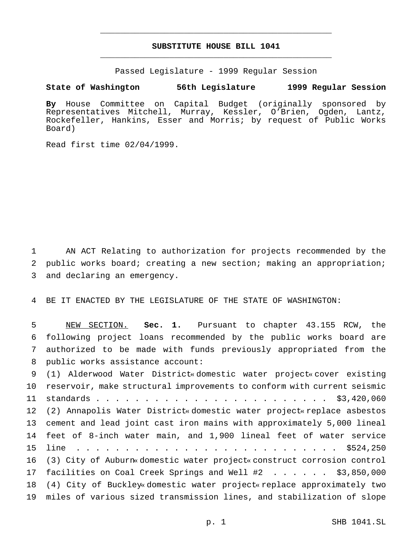## **SUBSTITUTE HOUSE BILL 1041** \_\_\_\_\_\_\_\_\_\_\_\_\_\_\_\_\_\_\_\_\_\_\_\_\_\_\_\_\_\_\_\_\_\_\_\_\_\_\_\_\_\_\_\_\_\_\_

\_\_\_\_\_\_\_\_\_\_\_\_\_\_\_\_\_\_\_\_\_\_\_\_\_\_\_\_\_\_\_\_\_\_\_\_\_\_\_\_\_\_\_\_\_\_\_

Passed Legislature - 1999 Regular Session

## **State of Washington 56th Legislature 1999 Regular Session**

**By** House Committee on Capital Budget (originally sponsored by Representatives Mitchell, Murray, Kessler, O'Brien, Ogden, Lantz, Rockefeller, Hankins, Esser and Morris; by request of Public Works Board)

Read first time 02/04/1999.

 AN ACT Relating to authorization for projects recommended by the public works board; creating a new section; making an appropriation; and declaring an emergency.

BE IT ENACTED BY THE LEGISLATURE OF THE STATE OF WASHINGTON:

 NEW SECTION. **Sec. 1.** Pursuant to chapter 43.155 RCW, the following project loans recommended by the public works board are authorized to be made with funds previously appropriated from the public works assistance account:

 (1) Alderwood Water District« domestic water project« cover existing reservoir, make structural improvements to conform with current seismic standards........................ \$3,420,060 (2) Annapolis Water District« domestic water project« replace asbestos cement and lead joint cast iron mains with approximately 5,000 lineal feet of 8-inch water main, and 1,900 lineal feet of water service line ........................... \$524,250 (3) City of Auburn« domestic water project« construct corrosion control facilities on Coal Creek Springs and Well #2 ...... \$3,850,000 (4) City of Buckley« domestic water project« replace approximately two miles of various sized transmission lines, and stabilization of slope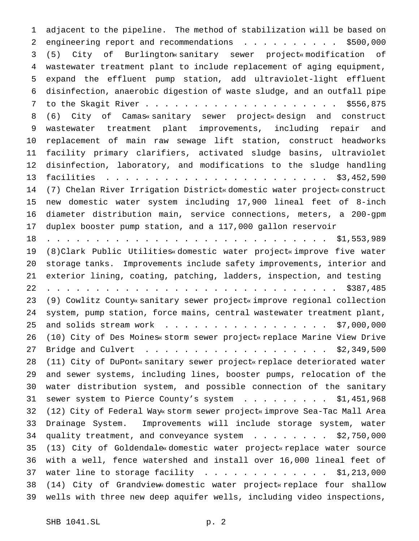adjacent to the pipeline. The method of stabilization will be based on 2 engineering report and recommendations . . . . . . . . . \$500,000 (5) City of Burlington« sanitary sewer project« modification of wastewater treatment plant to include replacement of aging equipment, expand the effluent pump station, add ultraviolet-light effluent disinfection, anaerobic digestion of waste sludge, and an outfall pipe to the Skagit River.................... \$556,875 (6) City of Camas« sanitary sewer project« design and construct wastewater treatment plant improvements, including repair and replacement of main raw sewage lift station, construct headworks facility primary clarifiers, activated sludge basins, ultraviolet disinfection, laboratory, and modifications to the sludge handling facilities ....................... \$3,452,590 (7) Chelan River Irrigation District« domestic water project« construct new domestic water system including 17,900 lineal feet of 8-inch diameter distribution main, service connections, meters, a 200-gpm duplex booster pump station, and a 117,000 gallon reservoir ............................. \$1,553,989 (8)Clark Public Utilities« domestic water project« improve five water storage tanks. Improvements include safety improvements, interior and exterior lining, coating, patching, ladders, inspection, and testing .............................. \$387,485 (9) Cowlitz County« sanitary sewer project« improve regional collection system, pump station, force mains, central wastewater treatment plant, 25 and solids stream work . . . . . . . . . . . . . . . . . \$7,000,000 (10) City of Des Moines« storm sewer project« replace Marine View Drive Bridge and Culvert ................... \$2,349,500 (11) City of DuPont« sanitary sewer project« replace deteriorated water and sewer systems, including lines, booster pumps, relocation of the water distribution system, and possible connection of the sanitary 31 sewer system to Pierce County's system . . . . . . . . \$1,451,968 (12) City of Federal Way« storm sewer project« improve Sea-Tac Mall Area Drainage System. Improvements will include storage system, water 34 quality treatment, and conveyance system . . . . . . . \$2,750,000 (13) City of Goldendale« domestic water project« replace water source with a well, fence watershed and install over 16,000 lineal feet of 37 water line to storage facility  $\ldots$ ............. \$1,213,000 (14) City of Grandview« domestic water project« replace four shallow wells with three new deep aquifer wells, including video inspections,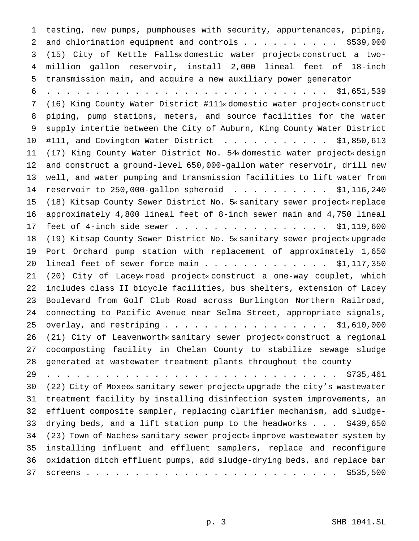testing, new pumps, pumphouses with security, appurtenances, piping, 2 and chlorination equipment and controls . . . . . . . . . . \$539,000 (15) City of Kettle Falls« domestic water project« construct a two- million gallon reservoir, install 2,000 lineal feet of 18-inch transmission main, and acquire a new auxiliary power generator ............................. \$1,651,539 (16) King County Water District #111« domestic water project« construct piping, pump stations, meters, and source facilities for the water supply intertie between the City of Auburn, King County Water District #111, and Covington Water District ........... \$1,850,613 (17) King County Water District No. 54« domestic water project« design and construct a ground-level 650,000-gallon water reservoir, drill new well, and water pumping and transmission facilities to lift water from reservoir to 250,000-gallon spheroid .......... \$1,116,240 (18) Kitsap County Sewer District No. 5« sanitary sewer project« replace approximately 4,800 lineal feet of 8-inch sewer main and 4,750 lineal 17 feet of 4-inch side sewer . . . . . . . . . . . . . . . . \$1,119,600 (19) Kitsap County Sewer District No. 5« sanitary sewer project« upgrade Port Orchard pump station with replacement of approximately 1,650 20 lineal feet of sewer force main . . . . . . . . . . . . \$1,117,350 (20) City of Lacey« road project« construct a one-way couplet, which includes class II bicycle facilities, bus shelters, extension of Lacey Boulevard from Golf Club Road across Burlington Northern Railroad, connecting to Pacific Avenue near Selma Street, appropriate signals, overlay, and restriping................. \$1,610,000 (21) City of Leavenworth« sanitary sewer project« construct a regional cocomposting facility in Chelan County to stabilize sewage sludge generated at wastewater treatment plants throughout the county .............................. \$735,461 (22) City of Moxee« sanitary sewer project« upgrade the city's wastewater treatment facility by installing disinfection system improvements, an effluent composite sampler, replacing clarifier mechanism, add sludge- drying beds, and a lift station pump to the headworks... \$439,650 (23) Town of Naches« sanitary sewer project« improve wastewater system by installing influent and effluent samplers, replace and reconfigure oxidation ditch effluent pumps, add sludge-drying beds, and replace bar screens.......................... \$535,500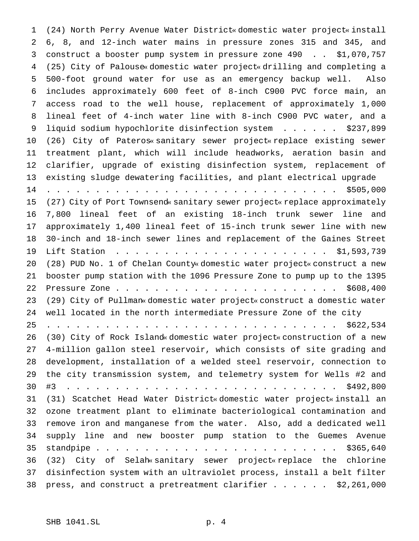(24) North Perry Avenue Water District« domestic water project« install 6, 8, and 12-inch water mains in pressure zones 315 and 345, and construct a booster pump system in pressure zone 490 . . \$1,070,757 (25) City of Palouse« domestic water project« drilling and completing a 500-foot ground water for use as an emergency backup well. Also includes approximately 600 feet of 8-inch C900 PVC force main, an access road to the well house, replacement of approximately 1,000 lineal feet of 4-inch water line with 8-inch C900 PVC water, and a 9 liquid sodium hypochlorite disinfection system . . . . . . \$237,899 (26) City of Pateros« sanitary sewer project« replace existing sewer treatment plant, which will include headworks, aeration basin and clarifier, upgrade of existing disinfection system, replacement of existing sludge dewatering facilities, and plant electrical upgrade .............................. \$505,000 (27) City of Port Townsend« sanitary sewer project« replace approximately 7,800 lineal feet of an existing 18-inch trunk sewer line and approximately 1,400 lineal feet of 15-inch trunk sewer line with new 30-inch and 18-inch sewer lines and replacement of the Gaines Street Lift Station ...................... \$1,593,739 (28) PUD No. 1 of Chelan County« domestic water project« construct a new booster pump station with the 1096 Pressure Zone to pump up to the 1395 Pressure Zone....................... \$608,400 (29) City of Pullman« domestic water project« construct a domestic water well located in the north intermediate Pressure Zone of the city .............................. \$622,534 (30) City of Rock Island« domestic water project« construction of a new 4-million gallon steel reservoir, which consists of site grading and development, installation of a welded steel reservoir, connection to the city transmission system, and telemetry system for Wells #2 and #3 . . . . . . . . . . . . . . . . . . . . . . . . . . . . \$492,800 (31) Scatchet Head Water District« domestic water project« install an ozone treatment plant to eliminate bacteriological contamination and remove iron and manganese from the water. Also, add a dedicated well supply line and new booster pump station to the Guemes Avenue standpipe......................... \$365,640 (32) City of Selah« sanitary sewer project« replace the chlorine disinfection system with an ultraviolet process, install a belt filter press, and construct a pretreatment clarifier...... \$2,261,000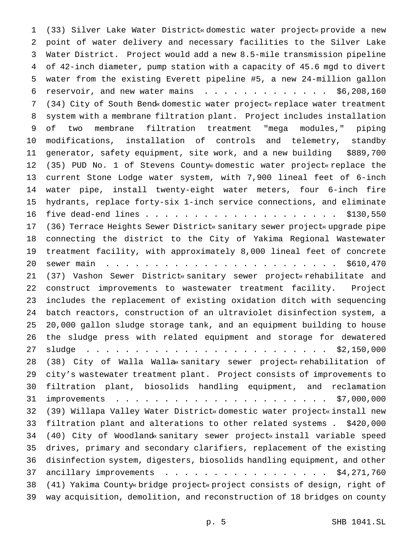(33) Silver Lake Water District« domestic water project« provide a new point of water delivery and necessary facilities to the Silver Lake Water District. Project would add a new 8.5-mile transmission pipeline of 42-inch diameter, pump station with a capacity of 45.6 mgd to divert water from the existing Everett pipeline #5, a new 24-million gallon 6 reservoir, and new water mains  $\ldots$ ................. \$6,208,160 (34) City of South Bend« domestic water project« replace water treatment system with a membrane filtration plant. Project includes installation of two membrane filtration treatment "mega modules," piping modifications, installation of controls and telemetry, standby generator, safety equipment, site work, and a new building \$889,700 (35) PUD No. 1 of Stevens County« domestic water project« replace the current Stone Lodge water system, with 7,900 lineal feet of 6-inch water pipe, install twenty-eight water meters, four 6-inch fire hydrants, replace forty-six 1-inch service connections, and eliminate five dead-end lines.................... \$130,550 (36) Terrace Heights Sewer District« sanitary sewer project« upgrade pipe connecting the district to the City of Yakima Regional Wastewater treatment facility, with approximately 8,000 lineal feet of concrete sewer main ........................ \$610,470 (37) Vashon Sewer District« sanitary sewer project« rehabilitate and construct improvements to wastewater treatment facility. Project includes the replacement of existing oxidation ditch with sequencing batch reactors, construction of an ultraviolet disinfection system, a 20,000 gallon sludge storage tank, and an equipment building to house the sludge press with related equipment and storage for dewatered sludge ......................... \$2,150,000 (38) City of Walla Walla« sanitary sewer project« rehabilitation of city's wastewater treatment plant. Project consists of improvements to filtration plant, biosolids handling equipment, and reclamation improvements ...................... \$7,000,000 (39) Willapa Valley Water District« domestic water project« install new filtration plant and alterations to other related systems . \$420,000 (40) City of Woodland« sanitary sewer project« install variable speed drives, primary and secondary clarifiers, replacement of the existing disinfection system, digesters, biosolids handling equipment, and other 37 ancillary improvements . . . . . . . . . . . . . . . . \$4,271,760 (41) Yakima County« bridge project« project consists of design, right of way acquisition, demolition, and reconstruction of 18 bridges on county